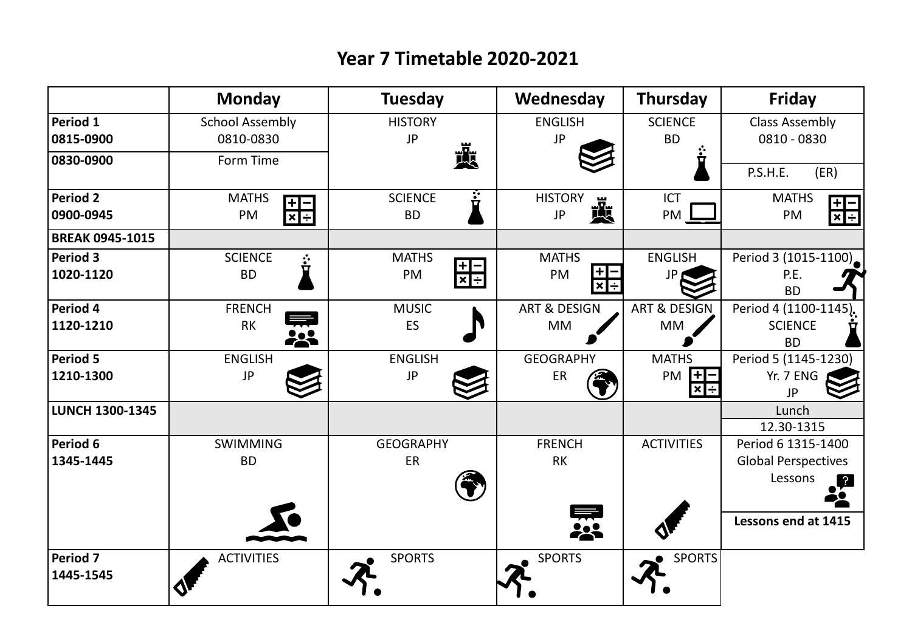## **Year 7 Timetable 2020-2021**

|                              | <b>Monday</b>                                                       | <b>Tuesday</b>                                       | Wednesday                        | <b>Thursday</b>                  | <b>Friday</b>                          |
|------------------------------|---------------------------------------------------------------------|------------------------------------------------------|----------------------------------|----------------------------------|----------------------------------------|
| Period 1<br>0815-0900        | <b>School Assembly</b><br>0810-0830                                 | <b>HISTORY</b><br><b>JP</b>                          | <b>ENGLISH</b><br><b>JP</b>      | <b>SCIENCE</b><br><b>BD</b>      | <b>Class Assembly</b><br>0810 - 0830   |
| 0830-0900                    | Form Time                                                           | 喪                                                    |                                  | ◘                                | P.S.H.E.<br>(ER)                       |
| <b>Period 2</b><br>0900-0945 | <b>MATHS</b><br>$\frac{+}{\mathbf{x}}$ $\frac{-}{\mathbf{y}}$<br>PM | $\ddot{\ddot{\bf r}}$<br><b>SCIENCE</b><br><b>BD</b> | <b>HISTORY</b><br>戒<br><b>JP</b> | <b>ICT</b><br>PM                 | <b>MATHS</b><br>$\frac{+}{ x +}$<br>PM |
| <b>BREAK 0945-1015</b>       |                                                                     |                                                      |                                  |                                  |                                        |
| Period 3<br>1020-1120        | <b>SCIENCE</b><br>$\ddot{\dot{\mathbf{r}}}$<br><b>BD</b>            | <b>MATHS</b><br>$\frac{1}{x}$<br>PM                  | <b>MATHS</b><br>$+$ ]-<br>PM     | <b>ENGLISH</b>                   | Period 3 (1015-1100)<br>P.E.           |
|                              |                                                                     |                                                      | $x \div$                         |                                  | <b>BD</b>                              |
| Period 4                     | <b>FRENCH</b>                                                       | <b>MUSIC</b>                                         | <b>ART &amp; DESIGN</b>          | <b>ART &amp; DESIGN</b>          | Period 4 (1100-1145).                  |
| 1120-1210                    | <b>RK</b>                                                           | ES                                                   | MM                               | MM                               | <b>SCIENCE</b><br><b>BD</b>            |
| Period 5                     | <b>ENGLISH</b>                                                      | <b>ENGLISH</b>                                       | <b>GEOGRAPHY</b>                 | <b>MATHS</b>                     | Period 5 (1145-1230)                   |
| 1210-1300                    | JP                                                                  | JP                                                   | ER                               | $H^-$<br>PM<br>$\vert x \vert +$ | Yr. 7 ENG<br>JP                        |
| <b>LUNCH 1300-1345</b>       |                                                                     |                                                      |                                  |                                  | Lunch<br>12.30-1315                    |
| Period 6                     | <b>SWIMMING</b>                                                     | <b>GEOGRAPHY</b>                                     | <b>FRENCH</b>                    | <b>ACTIVITIES</b>                | Period 6 1315-1400                     |
| 1345-1445                    | <b>BD</b>                                                           | ER                                                   | <b>RK</b>                        |                                  | <b>Global Perspectives</b>             |
|                              |                                                                     |                                                      |                                  |                                  | Lessons<br><u>r</u>                    |
|                              |                                                                     |                                                      | 霖                                |                                  | Lessons end at 1415                    |
| Period 7<br>1445-1545        | <b>ACTIVITIES</b>                                                   | <b>SPORTS</b>                                        | <b>SPORTS</b>                    | <b>SPORTS</b>                    |                                        |